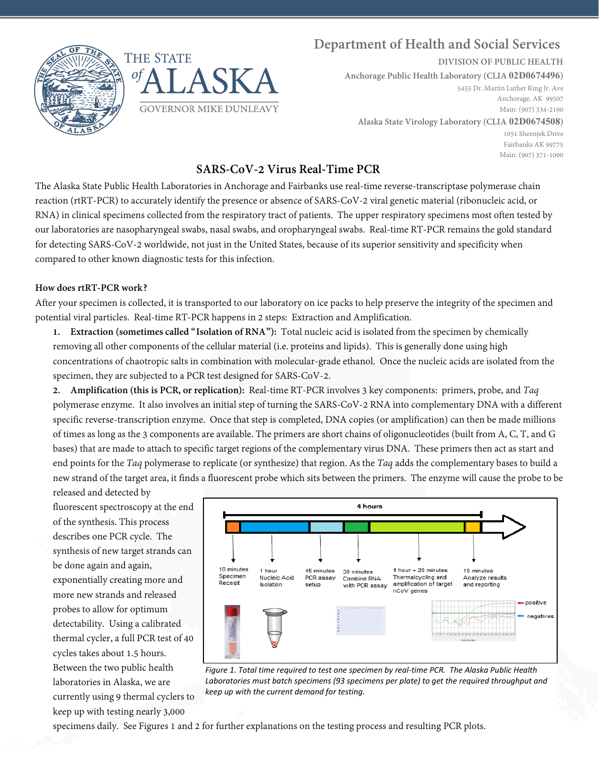



# **Department of Health and Social Services**

**DIVISION OF PUBLIC HEALTH**

**Anchorage Public Health Laboratory (CLIA 02D0674496)**

5455 Dr. Martin Luther King Jr. Ave Anchorage, AK 99507 Main: (907) 334-2100

**Alaska State Virology Laboratory (CLIA 02D0674508)**

1051 Sheenjek Drive Fairbanks AK 99775 Main: (907) 371-1000

## **SARS-CoV-2 Virus Real-Time PCR**

The Alaska State Public Health Laboratories in Anchorage and Fairbanks use real-time reverse-transcriptase polymerase chain reaction (rtRT-PCR) to accurately identify the presence or absence of SARS-CoV-2 viral genetic material (ribonucleic acid, or RNA) in clinical specimens collected from the respiratory tract of patients. The upper respiratory specimens most often tested by our laboratories are nasopharyngeal swabs, nasal swabs, and oropharyngeal swabs. Real-time RT-PCR remains the gold standard for detecting SARS-CoV-2 worldwide, not just in the United States, because of its superior sensitivity and specificity when compared to other known diagnostic tests for this infection.

### **How does rtRT-PCR work?**

After your specimen is collected, it is transported to our laboratory on ice packs to help preserve the integrity of the specimen and potential viral particles. Real-time RT-PCR happens in 2 steps: Extraction and Amplification.

**1. Extraction (sometimes called "Isolation of RNA"):** Total nucleic acid is isolated from the specimen by chemically removing all other components of the cellular material (i.e. proteins and lipids). This is generally done using high concentrations of chaotropic salts in combination with molecular-grade ethanol. Once the nucleic acids are isolated from the specimen, they are subjected to a PCR test designed for SARS-CoV-2.

**2. Amplification (this is PCR, or replication):** Real-time RT-PCR involves 3 key components: primers, probe, and *Taq*  polymerase enzyme. It also involves an initial step of turning the SARS-CoV-2 RNA into complementary DNA with a different specific reverse-transcription enzyme. Once that step is completed, DNA copies (or amplification) can then be made millions of times as long as the 3 components are available. The primers are short chains of oligonucleotides (built from A, C, T, and G bases) that are made to attach to specific target regions of the complementary virus DNA. These primers then act as start and end points for the *Taq* polymerase to replicate (or synthesize) that region. As the *Taq* adds the complementary bases to build a new strand of the target area, it finds a fluorescent probe which sits between the primers. The enzyme will cause the probe to be

released and detected by fluorescent spectroscopy at the end of the synthesis. This process describes one PCR cycle. The synthesis of new target strands can be done again and again, exponentially creating more and more new strands and released probes to allow for optimum detectability. Using a calibrated thermal cycler, a full PCR test of 40 cycles takes about 1.5 hours. Between the two public health laboratories in Alaska, we are currently using 9 thermal cyclers to keep up with testing nearly 3,000



*Figure 1. Total time required to test one specimen by real-time PCR. The Alaska Public Health Laboratories must batch specimens (93 specimens per plate) to get the required throughput and keep up with the current demand for testing.*

specimens daily. See Figures 1 and 2 for further explanations on the testing process and resulting PCR plots.